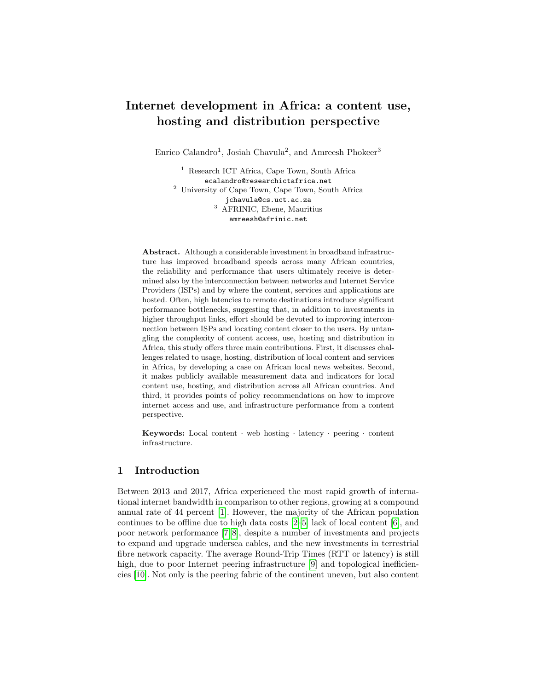# Internet development in Africa: a content use, hosting and distribution perspective

Enrico Calandro<sup>1</sup>, Josiah Chavula<sup>2</sup>, and Amreesh Phokeer<sup>3</sup>

<sup>1</sup> Research ICT Africa, Cape Town, South Africa ecalandro@researchictafrica.net <sup>2</sup> University of Cape Town, Cape Town, South Africa jchavula@cs.uct.ac.za <sup>3</sup> AFRINIC, Ebene, Mauritius amreesh@afrinic.net

Abstract. Although a considerable investment in broadband infrastructure has improved broadband speeds across many African countries, the reliability and performance that users ultimately receive is determined also by the interconnection between networks and Internet Service Providers (ISPs) and by where the content, services and applications are hosted. Often, high latencies to remote destinations introduce significant performance bottlenecks, suggesting that, in addition to investments in higher throughput links, effort should be devoted to improving interconnection between ISPs and locating content closer to the users. By untangling the complexity of content access, use, hosting and distribution in Africa, this study offers three main contributions. First, it discusses challenges related to usage, hosting, distribution of local content and services in Africa, by developing a case on African local news websites. Second, it makes publicly available measurement data and indicators for local content use, hosting, and distribution across all African countries. And third, it provides points of policy recommendations on how to improve internet access and use, and infrastructure performance from a content perspective.

**Keywords:** Local content  $\cdot$  web hosting  $\cdot$  latency  $\cdot$  peering  $\cdot$  content infrastructure.

## 1 Introduction

Between 2013 and 2017, Africa experienced the most rapid growth of international internet bandwidth in comparison to other regions, growing at a compound annual rate of 44 percent [\[1\]](#page-10-0). However, the majority of the African population continues to be offline due to high data costs [\[2](#page-10-1)[–5\]](#page-10-2) lack of local content [\[6\]](#page-10-3), and poor network performance [\[7,](#page-10-4) [8\]](#page-10-5), despite a number of investments and projects to expand and upgrade undersea cables, and the new investments in terrestrial fibre network capacity. The average Round-Trip Times (RTT or latency) is still high, due to poor Internet peering infrastructure [\[9\]](#page-10-6) and topological inefficiencies [\[10\]](#page-10-7). Not only is the peering fabric of the continent uneven, but also content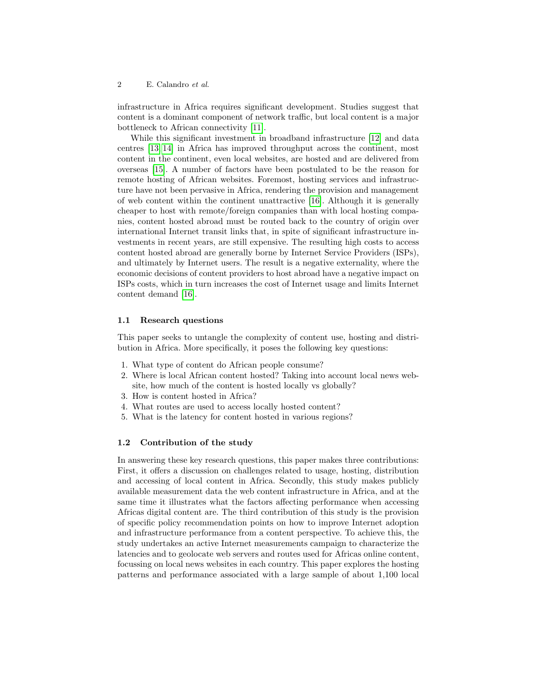infrastructure in Africa requires significant development. Studies suggest that content is a dominant component of network traffic, but local content is a major bottleneck to African connectivity [\[11\]](#page-10-8).

While this significant investment in broadband infrastructure [\[12\]](#page-10-9) and data centres [\[13,](#page-10-10) [14\]](#page-10-11) in Africa has improved throughput across the continent, most content in the continent, even local websites, are hosted and are delivered from overseas [\[15\]](#page-10-12). A number of factors have been postulated to be the reason for remote hosting of African websites. Foremost, hosting services and infrastructure have not been pervasive in Africa, rendering the provision and management of web content within the continent unattractive [\[16\]](#page-10-13). Although it is generally cheaper to host with remote/foreign companies than with local hosting companies, content hosted abroad must be routed back to the country of origin over international Internet transit links that, in spite of significant infrastructure investments in recent years, are still expensive. The resulting high costs to access content hosted abroad are generally borne by Internet Service Providers (ISPs), and ultimately by Internet users. The result is a negative externality, where the economic decisions of content providers to host abroad have a negative impact on ISPs costs, which in turn increases the cost of Internet usage and limits Internet content demand [\[16\]](#page-10-13).

### 1.1 Research questions

This paper seeks to untangle the complexity of content use, hosting and distribution in Africa. More specifically, it poses the following key questions:

- 1. What type of content do African people consume?
- 2. Where is local African content hosted? Taking into account local news website, how much of the content is hosted locally vs globally?
- 3. How is content hosted in Africa?
- 4. What routes are used to access locally hosted content?
- 5. What is the latency for content hosted in various regions?

### 1.2 Contribution of the study

In answering these key research questions, this paper makes three contributions: First, it offers a discussion on challenges related to usage, hosting, distribution and accessing of local content in Africa. Secondly, this study makes publicly available measurement data the web content infrastructure in Africa, and at the same time it illustrates what the factors affecting performance when accessing Africas digital content are. The third contribution of this study is the provision of specific policy recommendation points on how to improve Internet adoption and infrastructure performance from a content perspective. To achieve this, the study undertakes an active Internet measurements campaign to characterize the latencies and to geolocate web servers and routes used for Africas online content, focussing on local news websites in each country. This paper explores the hosting patterns and performance associated with a large sample of about 1,100 local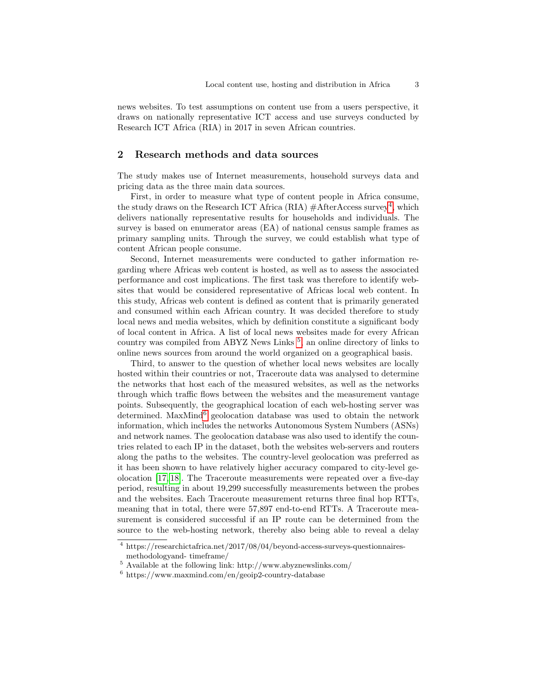news websites. To test assumptions on content use from a users perspective, it draws on nationally representative ICT access and use surveys conducted by Research ICT Africa (RIA) in 2017 in seven African countries.

### 2 Research methods and data sources

The study makes use of Internet measurements, household surveys data and pricing data as the three main data sources.

First, in order to measure what type of content people in Africa consume, the study draws on the Research ICT Africa (RIA)  $#$ AfterAccess survey<sup>[4](#page-2-0)</sup>, which delivers nationally representative results for households and individuals. The survey is based on enumerator areas (EA) of national census sample frames as primary sampling units. Through the survey, we could establish what type of content African people consume.

Second, Internet measurements were conducted to gather information regarding where Africas web content is hosted, as well as to assess the associated performance and cost implications. The first task was therefore to identify websites that would be considered representative of Africas local web content. In this study, Africas web content is defined as content that is primarily generated and consumed within each African country. It was decided therefore to study local news and media websites, which by definition constitute a significant body of local content in Africa. A list of local news websites made for every African country was compiled from ABYZ News Links<sup>[5](#page-2-1)</sup>, an online directory of links to online news sources from around the world organized on a geographical basis.

Third, to answer to the question of whether local news websites are locally hosted within their countries or not, Traceroute data was analysed to determine the networks that host each of the measured websites, as well as the networks through which traffic flows between the websites and the measurement vantage points. Subsequently, the geographical location of each web-hosting server was determined. MaxMind<sup>[6](#page-2-2)</sup> geolocation database was used to obtain the network information, which includes the networks Autonomous System Numbers (ASNs) and network names. The geolocation database was also used to identify the countries related to each IP in the dataset, both the websites web-servers and routers along the paths to the websites. The country-level geolocation was preferred as it has been shown to have relatively higher accuracy compared to city-level geolocation [\[17,](#page-10-14) [18\]](#page-10-15). The Traceroute measurements were repeated over a five-day period, resulting in about 19,299 successfully measurements between the probes and the websites. Each Traceroute measurement returns three final hop RTTs, meaning that in total, there were 57,897 end-to-end RTTs. A Traceroute measurement is considered successful if an IP route can be determined from the source to the web-hosting network, thereby also being able to reveal a delay

<span id="page-2-0"></span><sup>4</sup> https://researchictafrica.net/2017/08/04/beyond-access-surveys-questionnairesmethodologyand- timeframe/

<span id="page-2-1"></span>

 $^5$  Available at the following link: http://www.abyznewslinks.com/  $\,$ 

<span id="page-2-2"></span> $6 \text{ https://www.maxmind.com/en/geoip2-country-databases}$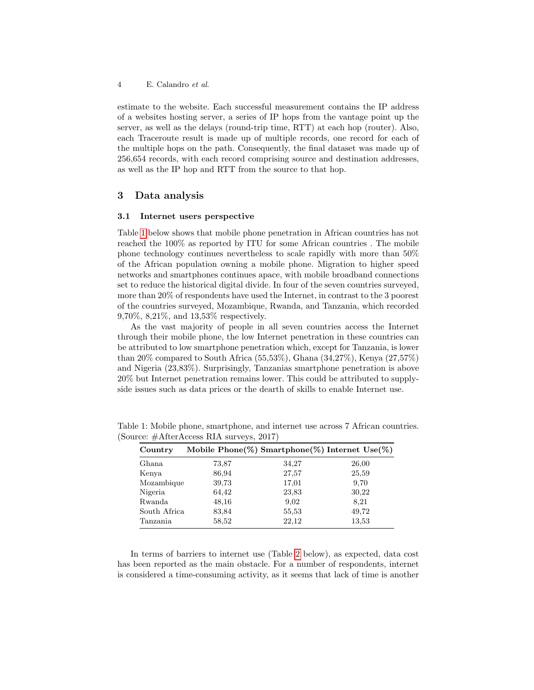estimate to the website. Each successful measurement contains the IP address of a websites hosting server, a series of IP hops from the vantage point up the server, as well as the delays (round-trip time, RTT) at each hop (router). Also, each Traceroute result is made up of multiple records, one record for each of the multiple hops on the path. Consequently, the final dataset was made up of 256,654 records, with each record comprising source and destination addresses, as well as the IP hop and RTT from the source to that hop.

# 3 Data analysis

### 3.1 Internet users perspective

Table [1](#page-3-0) below shows that mobile phone penetration in African countries has not reached the 100% as reported by ITU for some African countries . The mobile phone technology continues nevertheless to scale rapidly with more than 50% of the African population owning a mobile phone. Migration to higher speed networks and smartphones continues apace, with mobile broadband connections set to reduce the historical digital divide. In four of the seven countries surveyed, more than 20% of respondents have used the Internet, in contrast to the 3 poorest of the countries surveyed, Mozambique, Rwanda, and Tanzania, which recorded 9,70%, 8,21%, and 13,53% respectively.

As the vast majority of people in all seven countries access the Internet through their mobile phone, the low Internet penetration in these countries can be attributed to low smartphone penetration which, except for Tanzania, is lower than 20% compared to South Africa (55,53%), Ghana (34,27%), Kenya (27,57%) and Nigeria (23,83%). Surprisingly, Tanzanias smartphone penetration is above 20% but Internet penetration remains lower. This could be attributed to supplyside issues such as data prices or the dearth of skills to enable Internet use.

| Country      | Mobile Phone(%) Smartphone(%) Internet $Use(\%)$ |       |       |
|--------------|--------------------------------------------------|-------|-------|
| Ghana        | 73.87                                            | 34,27 | 26,00 |
| Kenya        | 86,94                                            | 27,57 | 25,59 |
| Mozambique   | 39,73                                            | 17,01 | 9.70  |
| Nigeria      | 64,42                                            | 23,83 | 30,22 |
| Rwanda       | 48,16                                            | 9,02  | 8,21  |
| South Africa | 83,84                                            | 55,53 | 49,72 |
| Tanzania     | 58,52                                            | 22,12 | 13,53 |

<span id="page-3-0"></span>Table 1: Mobile phone, smartphone, and internet use across 7 African countries. (Source: #AfterAccess RIA surveys, 2017)

In terms of barriers to internet use (Table [2](#page-4-0) below), as expected, data cost has been reported as the main obstacle. For a number of respondents, internet is considered a time-consuming activity, as it seems that lack of time is another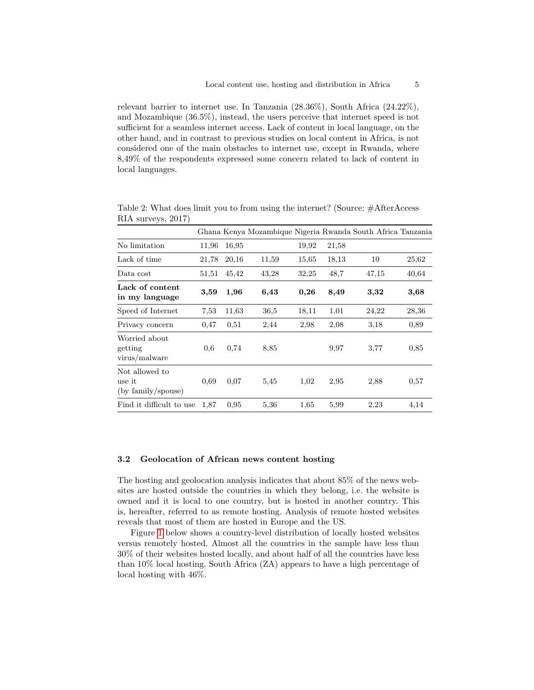relevant barrier to internet use. In Tanzania (28.36%), South Africa (24.22%), and Mozambique (36.5%), instead, the users perceive that internet speed is not sufficient for a seamless internet access. Lack of content in local language, on the other hand, and in contrast to previous studies on local content in Africa, is not considered one of the main obstacles to internet use, except in Rwanda, where 8,49% of the respondents expressed some concern related to lack of content in local languages.

|                                                |       |       |       |       |       | Ghana Kenya Mozambique Nigeria Rwanda South Africa Tanzania |       |
|------------------------------------------------|-------|-------|-------|-------|-------|-------------------------------------------------------------|-------|
| No limitation                                  | 11.96 | 16.95 |       | 19,92 | 21,58 |                                                             |       |
| Lack of time                                   | 21,78 | 20,16 | 11,59 | 15,65 | 18,13 | 10                                                          | 25,62 |
| Data cost                                      | 51,51 | 45,42 | 43,28 | 32,25 | 48,7  | 47,15                                                       | 40,64 |
| Lack of content<br>in my language              | 3,59  | 1,96  | 6,43  | 0,26  | 8,49  | 3,32                                                        | 3,68  |
| Speed of Internet                              | 7,53  | 11,63 | 36.5  | 18,11 | 1,01  | 24,22                                                       | 28,36 |
| Privacy concern                                | 0.47  | 0.51  | 2,44  | 2,98  | 2,08  | 3,18                                                        | 0,89  |
| Worried about<br>getting<br>virus/malware      | 0,6   | 0,74  | 8,85  |       | 9,97  | 3,77                                                        | 0,85  |
| Not allowed to<br>use it<br>(by family/spouse) | 0,69  | 0,07  | 5,45  | 1,02  | 2,95  | 2,88                                                        | 0,57  |
| Find it difficult to use                       | 1,87  | 0.95  | 5,36  | 1,65  | 5.99  | 2,23                                                        | 4,14  |

<span id="page-4-0"></span>Table 2: What does limit you to from using the internet? (Source: #AfterAccess RIA surveys, 2017)

### 3.2 Geolocation of African news content hosting

The hosting and geolocation analysis indicates that about 85% of the news websites are hosted outside the countries in which they belong, i.e. the website is owned and it is local to one country, but is hosted in another country. This is, hereafter, referred to as remote hosting. Analysis of remote hosted websites reveals that most of them are hosted in Europe and the US.

Figure [1](#page-5-0) below shows a country-level distribution of locally hosted websites versus remotely hosted. Almost all the countries in the sample have less than 30% of their websites hosted locally, and about half of all the countries have less than 10% local hosting. South Africa (ZA) appears to have a high percentage of local hosting with 46%.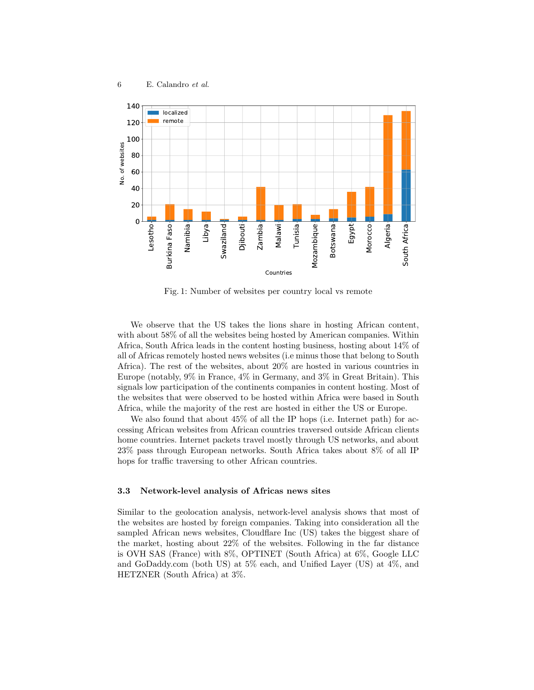<span id="page-5-0"></span>

Fig. 1: Number of websites per country local vs remote

We observe that the US takes the lions share in hosting African content, with about 58% of all the websites being hosted by American companies. Within Africa, South Africa leads in the content hosting business, hosting about 14% of all of Africas remotely hosted news websites (i.e minus those that belong to South Africa). The rest of the websites, about 20% are hosted in various countries in Europe (notably, 9% in France, 4% in Germany, and 3% in Great Britain). This signals low participation of the continents companies in content hosting. Most of the websites that were observed to be hosted within Africa were based in South Africa, while the majority of the rest are hosted in either the US or Europe.

We also found that about 45% of all the IP hops (i.e. Internet path) for accessing African websites from African countries traversed outside African clients home countries. Internet packets travel mostly through US networks, and about 23% pass through European networks. South Africa takes about 8% of all IP hops for traffic traversing to other African countries.

#### 3.3 Network-level analysis of Africas news sites

Similar to the geolocation analysis, network-level analysis shows that most of the websites are hosted by foreign companies. Taking into consideration all the sampled African news websites, Cloudflare Inc (US) takes the biggest share of the market, hosting about 22% of the websites. Following in the far distance is OVH SAS (France) with 8%, OPTINET (South Africa) at 6%, Google LLC and GoDaddy.com (both US) at 5% each, and Unified Layer (US) at 4%, and HETZNER (South Africa) at 3%.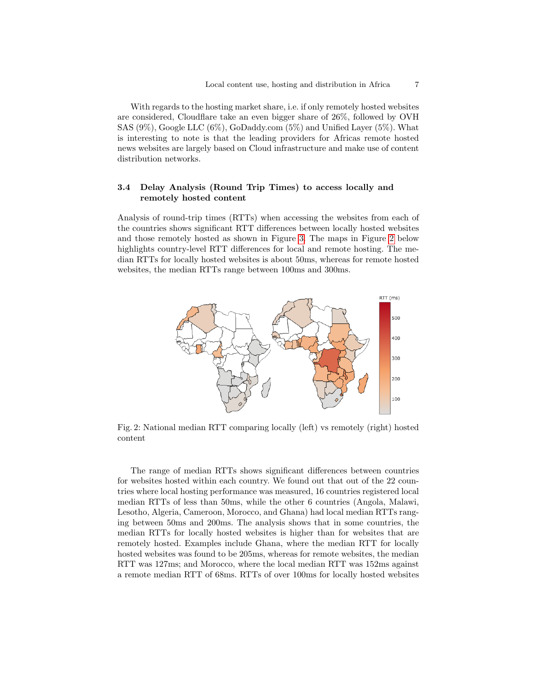With regards to the hosting market share, i.e. if only remotely hosted websites are considered, Cloudflare take an even bigger share of 26%, followed by OVH SAS (9%), Google LLC (6%), GoDaddy.com (5%) and Unified Layer (5%). What is interesting to note is that the leading providers for Africas remote hosted news websites are largely based on Cloud infrastructure and make use of content distribution networks.

# 3.4 Delay Analysis (Round Trip Times) to access locally and remotely hosted content

Analysis of round-trip times (RTTs) when accessing the websites from each of the countries shows significant RTT differences between locally hosted websites and those remotely hosted as shown in Figure [3.](#page-7-0) The maps in Figure [2](#page-6-0) below highlights country-level RTT differences for local and remote hosting. The median RTTs for locally hosted websites is about 50ms, whereas for remote hosted websites, the median RTTs range between 100ms and 300ms.

<span id="page-6-0"></span>

Fig. 2: National median RTT comparing locally (left) vs remotely (right) hosted content

The range of median RTTs shows significant differences between countries for websites hosted within each country. We found out that out of the 22 countries where local hosting performance was measured, 16 countries registered local median RTTs of less than 50ms, while the other 6 countries (Angola, Malawi, Lesotho, Algeria, Cameroon, Morocco, and Ghana) had local median RTTs ranging between 50ms and 200ms. The analysis shows that in some countries, the median RTTs for locally hosted websites is higher than for websites that are remotely hosted. Examples include Ghana, where the median RTT for locally hosted websites was found to be 205ms, whereas for remote websites, the median RTT was 127ms; and Morocco, where the local median RTT was 152ms against a remote median RTT of 68ms. RTTs of over 100ms for locally hosted websites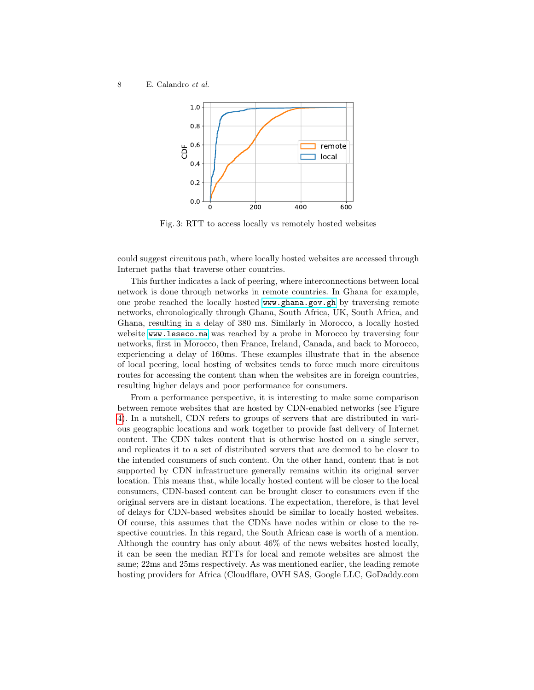<span id="page-7-0"></span>

Fig. 3: RTT to access locally vs remotely hosted websites

could suggest circuitous path, where locally hosted websites are accessed through Internet paths that traverse other countries.

This further indicates a lack of peering, where interconnections between local network is done through networks in remote countries. In Ghana for example, one probe reached the locally hosted <www.ghana.gov.gh> by traversing remote networks, chronologically through Ghana, South Africa, UK, South Africa, and Ghana, resulting in a delay of 380 ms. Similarly in Morocco, a locally hosted website <www.leseco.ma> was reached by a probe in Morocco by traversing four networks, first in Morocco, then France, Ireland, Canada, and back to Morocco, experiencing a delay of 160ms. These examples illustrate that in the absence of local peering, local hosting of websites tends to force much more circuitous routes for accessing the content than when the websites are in foreign countries, resulting higher delays and poor performance for consumers.

From a performance perspective, it is interesting to make some comparison between remote websites that are hosted by CDN-enabled networks (see Figure [4\)](#page-8-0). In a nutshell, CDN refers to groups of servers that are distributed in various geographic locations and work together to provide fast delivery of Internet content. The CDN takes content that is otherwise hosted on a single server, and replicates it to a set of distributed servers that are deemed to be closer to the intended consumers of such content. On the other hand, content that is not supported by CDN infrastructure generally remains within its original server location. This means that, while locally hosted content will be closer to the local consumers, CDN-based content can be brought closer to consumers even if the original servers are in distant locations. The expectation, therefore, is that level of delays for CDN-based websites should be similar to locally hosted websites. Of course, this assumes that the CDNs have nodes within or close to the respective countries. In this regard, the South African case is worth of a mention. Although the country has only about 46% of the news websites hosted locally, it can be seen the median RTTs for local and remote websites are almost the same; 22ms and 25ms respectively. As was mentioned earlier, the leading remote hosting providers for Africa (Cloudflare, OVH SAS, Google LLC, GoDaddy.com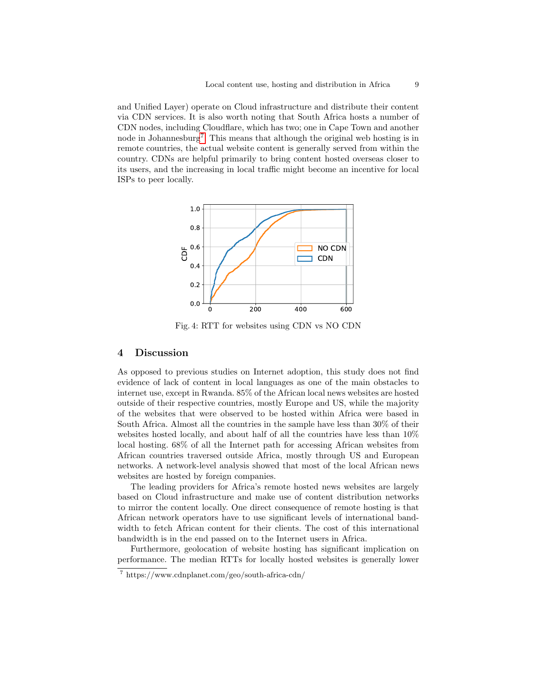and Unified Layer) operate on Cloud infrastructure and distribute their content via CDN services. It is also worth noting that South Africa hosts a number of CDN nodes, including Cloudflare, which has two; one in Cape Town and another node in Johannesburg<sup>[7](#page-8-1)</sup>. This means that although the original web hosting is in remote countries, the actual website content is generally served from within the country. CDNs are helpful primarily to bring content hosted overseas closer to its users, and the increasing in local traffic might become an incentive for local ISPs to peer locally.

<span id="page-8-0"></span>

Fig. 4: RTT for websites using CDN vs NO CDN

## 4 Discussion

As opposed to previous studies on Internet adoption, this study does not find evidence of lack of content in local languages as one of the main obstacles to internet use, except in Rwanda. 85% of the African local news websites are hosted outside of their respective countries, mostly Europe and US, while the majority of the websites that were observed to be hosted within Africa were based in South Africa. Almost all the countries in the sample have less than 30% of their websites hosted locally, and about half of all the countries have less than 10% local hosting. 68% of all the Internet path for accessing African websites from African countries traversed outside Africa, mostly through US and European networks. A network-level analysis showed that most of the local African news websites are hosted by foreign companies.

The leading providers for Africa's remote hosted news websites are largely based on Cloud infrastructure and make use of content distribution networks to mirror the content locally. One direct consequence of remote hosting is that African network operators have to use significant levels of international bandwidth to fetch African content for their clients. The cost of this international bandwidth is in the end passed on to the Internet users in Africa.

Furthermore, geolocation of website hosting has significant implication on performance. The median RTTs for locally hosted websites is generally lower

<span id="page-8-1"></span><sup>7</sup> https://www.cdnplanet.com/geo/south-africa-cdn/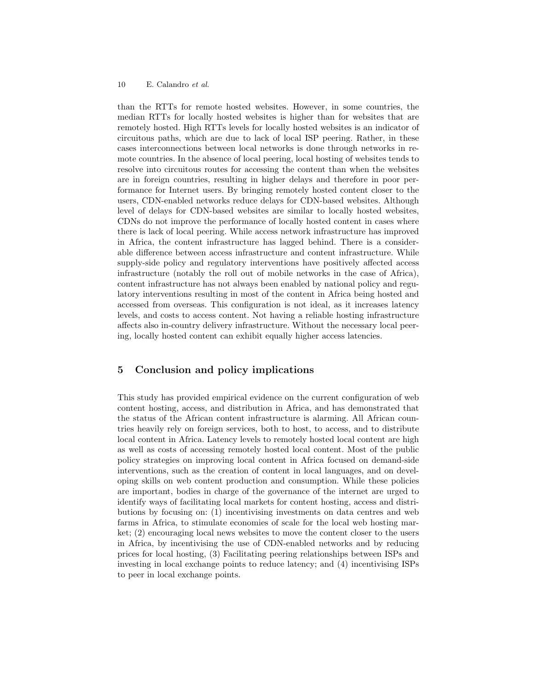than the RTTs for remote hosted websites. However, in some countries, the median RTTs for locally hosted websites is higher than for websites that are remotely hosted. High RTTs levels for locally hosted websites is an indicator of circuitous paths, which are due to lack of local ISP peering. Rather, in these cases interconnections between local networks is done through networks in remote countries. In the absence of local peering, local hosting of websites tends to resolve into circuitous routes for accessing the content than when the websites are in foreign countries, resulting in higher delays and therefore in poor performance for Internet users. By bringing remotely hosted content closer to the users, CDN-enabled networks reduce delays for CDN-based websites. Although level of delays for CDN-based websites are similar to locally hosted websites, CDNs do not improve the performance of locally hosted content in cases where there is lack of local peering. While access network infrastructure has improved in Africa, the content infrastructure has lagged behind. There is a considerable difference between access infrastructure and content infrastructure. While supply-side policy and regulatory interventions have positively affected access infrastructure (notably the roll out of mobile networks in the case of Africa), content infrastructure has not always been enabled by national policy and regulatory interventions resulting in most of the content in Africa being hosted and accessed from overseas. This configuration is not ideal, as it increases latency levels, and costs to access content. Not having a reliable hosting infrastructure affects also in-country delivery infrastructure. Without the necessary local peering, locally hosted content can exhibit equally higher access latencies.

# 5 Conclusion and policy implications

This study has provided empirical evidence on the current configuration of web content hosting, access, and distribution in Africa, and has demonstrated that the status of the African content infrastructure is alarming. All African countries heavily rely on foreign services, both to host, to access, and to distribute local content in Africa. Latency levels to remotely hosted local content are high as well as costs of accessing remotely hosted local content. Most of the public policy strategies on improving local content in Africa focused on demand-side interventions, such as the creation of content in local languages, and on developing skills on web content production and consumption. While these policies are important, bodies in charge of the governance of the internet are urged to identify ways of facilitating local markets for content hosting, access and distributions by focusing on: (1) incentivising investments on data centres and web farms in Africa, to stimulate economies of scale for the local web hosting market; (2) encouraging local news websites to move the content closer to the users in Africa, by incentivising the use of CDN-enabled networks and by reducing prices for local hosting, (3) Facilitating peering relationships between ISPs and investing in local exchange points to reduce latency; and (4) incentivising ISPs to peer in local exchange points.